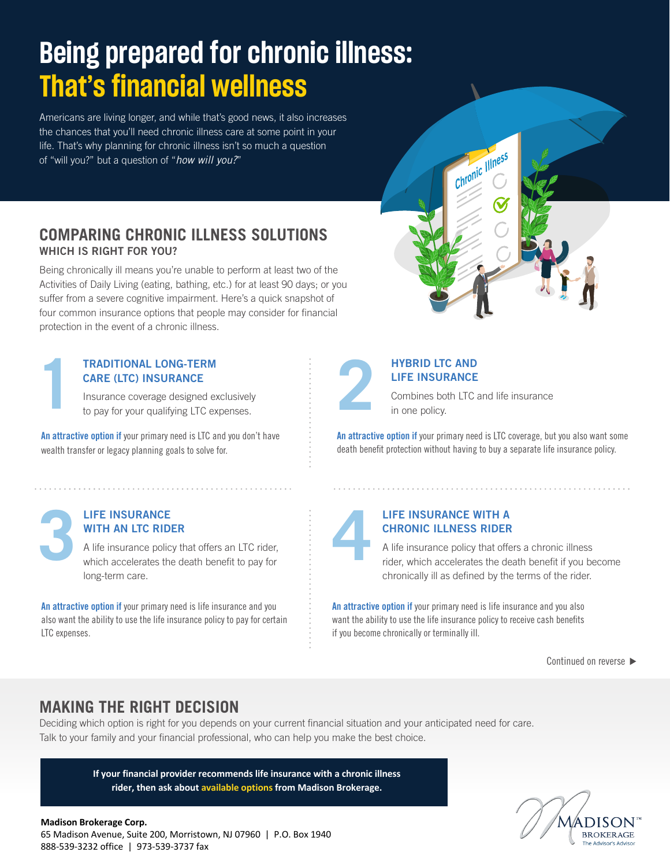# **Being prepared for chronic illness: That's financial wellness**

Americans are living longer, and while that's good news, it also increases the chances that you'll need chronic illness care at some point in your life. That's why planning for chronic illness isn't so much a question of "will you?" but a question of "*how will you?*"

### **COMPARING CHRONIC ILLNESS SOLUTIONS**  WHICH IS RIGHT FOR YOU?

Being chronically ill means you're unable to perform at least two of the Activities of Daily Living (eating, bathing, etc.) for at least 90 days; or you suffer from a severe cognitive impairment. Here's a quick snapshot of four common insurance options that people may consider for financial protection in the event of a chronic illness.

### **TRADITIONAL LONG-TERM CARE (LTC) INSURANCE**

Insurance coverage designed exclusively **1**to pay for your qualifying LTC expenses.

An attractive option if your primary need is LTC and you don't have wealth transfer or legacy planning goals to solve for.

### **LIFE INSURANCE WITH AN LTC RIDER**

A life insurance policy that offers an LTC rider, **EIFE INSURANCE<br>WITH AN LTC RIDER**<br>A life insurance policy that offers an LTC rider,<br>which accelerates the death benefit to pay for long-term care.

An attractive option if your primary need is life insurance and you also want the ability to use the life insurance policy to pay for certain LTC expenses.

### **HYBRID LTC AND LIFE INSURANCE**

Combines both LTC and life insurance<br>in one policy.

Chronic Illness

An attractive option if your primary need is LTC coverage, but you also want some death benefit protection without having to buy a separate life insurance policy.

### **LIFE INSURANCE WITH A CHRONIC ILLNESS RIDER**

A life insurance policy that offers a chronic illness rider, which accelerates the death benefit if you become **4** chronically ill as defined by the terms of the rider.

An attractive option if your primary need is life insurance and you also want the ability to use the life insurance policy to receive cash benefits if you become chronically or terminally ill.

Continued on reverse ▶

## **MAKING THE RIGHT DECISION**

Deciding which option is right for you depends on your current financial situation and your anticipated need for care. Talk to your family and your financial professional, who can help you make the best choice.

> **If your financial provider recommends life insurance with a chronic illness rider, then ask about available options from Madison Brokerage.**



### **Madison Brokerage Corp.**

65 Madison Avenue, Suite 200, Morristown, NJ 07960 | P.O. Box 1940 888-539-3232 office | 973-539-3737 fax